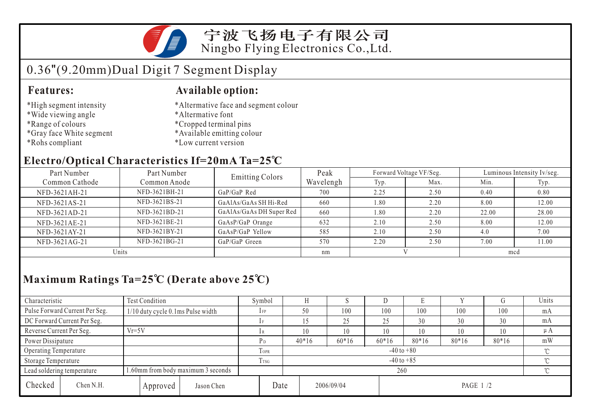

## 宁波飞扬电子有限公司 Ningbo Flying Electronics Co.,Ltd.

# 0.36"(9.20mm)Dual Digit 7 Segment Display

#### **Features:**

#### **Available option:**

- \*High segment intensity
- \*Wide viewing angle
- \*Range of colours
- \*Gray face White segment
- \*Rohs compliant
- \*Altermative face and segment colour
- \*Altermative font
- \*Cropped terminal pins
- \*Available emitting colour
- \*Low current version

### **Electro/Optical Characteristics If=20mA Ta=25 C**

| Part Number<br>Part Number |               | <b>Emitting Colors</b>   | Peak      | Forward Voltage VF/Seg. |      | Luminous Intensity Iv/seg. |       |  |
|----------------------------|---------------|--------------------------|-----------|-------------------------|------|----------------------------|-------|--|
| Common Cathode             | Common Anode  |                          | Wavelengh | Typ.                    | Max. | Min.                       | Typ.  |  |
| NFD-3621AH-21              | NFD-3621BH-21 | $GaP/GaP$ Red            | 700       | 2.25                    | 2.50 | 0.40                       | 0.80  |  |
| NFD-3621AS-21              | NFD-3621BS-21 | GaAlAs/GaAs SH Hi-Red    | 660       | 1.80                    | 2.20 | 8.00                       | 12.00 |  |
| NFD-3621AD-21              | NFD-3621BD-21 | GaAlAs/GaAs DH Super Red | 660       | 1.80                    | 2.20 | 22.00                      | 28.00 |  |
| NFD-3621AE-21              | NFD-3621BE-21 | GaAsP/GaP Orange         | 632       | 2.10                    | 2.50 | 8.00                       | 12.00 |  |
| NFD-3621AY-21              | NFD-3621BY-21 | GaAsP/GaP Yellow         | 585       | 2.10                    | 2.50 | 4.0                        | 7.00  |  |
| NFD-3621AG-21              | NFD-3621BG-21 | GaP/GaP Green            | 570       | 2.20                    | 2.50 | 7.00                       | 11.00 |  |
| Units                      |               |                          | nm        |                         |      | mcd                        |       |  |

# **Maximum Ratings Ta=25 C (Derate above 25 C)**

| Characteristic                                                   |                                     | <b>Test Condition</b>                |            |                | Symbol                   |         |            | IJ      |           |     | ÅТ      | Units |  |
|------------------------------------------------------------------|-------------------------------------|--------------------------------------|------------|----------------|--------------------------|---------|------------|---------|-----------|-----|---------|-------|--|
|                                                                  | Pulse Forward Current Per Seg.      | $1/10$ duty cycle 0.1 ms Pulse width |            | $1$ FP         | 50                       | 100     | 100        | 100     | 100       | 100 | mA      |       |  |
| DC Forward Current Per Seg.                                      |                                     |                                      | 1F         |                |                          | 25      | 25         | 30      | 30        | 30  | mA      |       |  |
|                                                                  | $Vr=5V$<br>Reverse Current Per Seg. |                                      | lR         |                | 10                       | 10      | 10         | 10      | 10        | 10  | $\mu A$ |       |  |
| Power Dissipature                                                |                                     |                                      | P d        | $40*16$        | $60*16$                  | $60*16$ | $80*16$    | $80*16$ | $80*16$   | mW  |         |       |  |
| Operating Temperature                                            |                                     |                                      |            | TOPR           | $-40$ to $+80$<br>$\sim$ |         |            |         |           |     |         |       |  |
| Storage Temperature                                              |                                     |                                      | <b>TSG</b> | $-40$ to $+85$ |                          |         |            |         |           |     |         |       |  |
| 1.60mm from body maximum 3 seconds<br>Lead soldering temperature |                                     |                                      |            |                | 260                      |         |            |         |           |     |         |       |  |
| Checked                                                          | Chen N.H.                           | Approved                             | Jason Chen | Date           |                          |         | 2006/09/04 |         | PAGE 1 /2 |     |         |       |  |